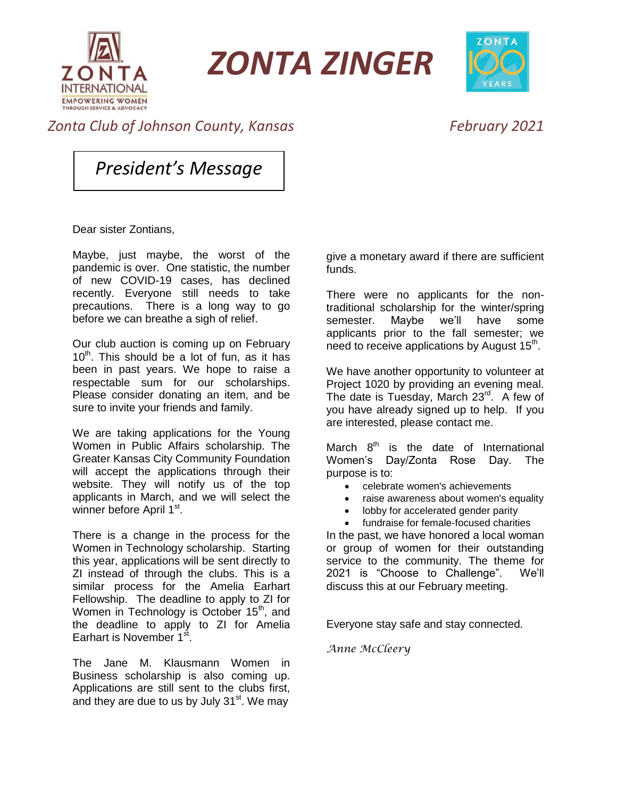

*ZONTA ZINGER*



## *Zonta Club of Johnson County, Kansas February 2021*

*President's Message*

Dear sister Zontians,

Maybe, just maybe, the worst of the pandemic is over. One statistic, the number of new COVID-19 cases, has declined recently. Everyone still needs to take precautions. There is a long way to go before we can breathe a sigh of relief.

Our club auction is coming up on February 10<sup>th</sup>. This should be a lot of fun, as it has been in past years. We hope to raise a respectable sum for our scholarships. Please consider donating an item, and be sure to invite your friends and family.

We are taking applications for the Young Women in Public Affairs scholarship. The Greater Kansas City Community Foundation will accept the applications through their website. They will notify us of the top applicants in March, and we will select the winner before April 1<sup>st</sup>.

There is a change in the process for the Women in Technology scholarship. Starting this year, applications will be sent directly to ZI instead of through the clubs. This is a similar process for the Amelia Earhart Fellowship. The deadline to apply to ZI for Women in Technology is October 15<sup>th</sup>, and the deadline to apply to ZI for Amelia Earhart is November 1<sup>st</sup>.

The Jane M. Klausmann Women in Business scholarship is also coming up. Applications are still sent to the clubs first, and they are due to us by July 31<sup>st</sup>. We may give a monetary award if there are sufficient funds.

There were no applicants for the nontraditional scholarship for the winter/spring semester. Maybe we'll have some applicants prior to the fall semester; we need to receive applications by August 15<sup>th</sup>.

We have another opportunity to volunteer at Project 1020 by providing an evening meal. The date is Tuesday, March 23<sup>rd</sup>. A few of you have already signed up to help. If you are interested, please contact me.

March  $8<sup>th</sup>$  is the date of International Women's Day/Zonta Rose Day. The purpose is to:

- celebrate women's achievements
- raise awareness about women's equality
- lobby for accelerated gender parity
- fundraise for female-focused charities

In the past, we have honored a local woman or group of women for their outstanding service to the community. The theme for 2021 is "Choose to Challenge". We'll discuss this at our February meeting.

Everyone stay safe and stay connected.

*Anne McCleery*